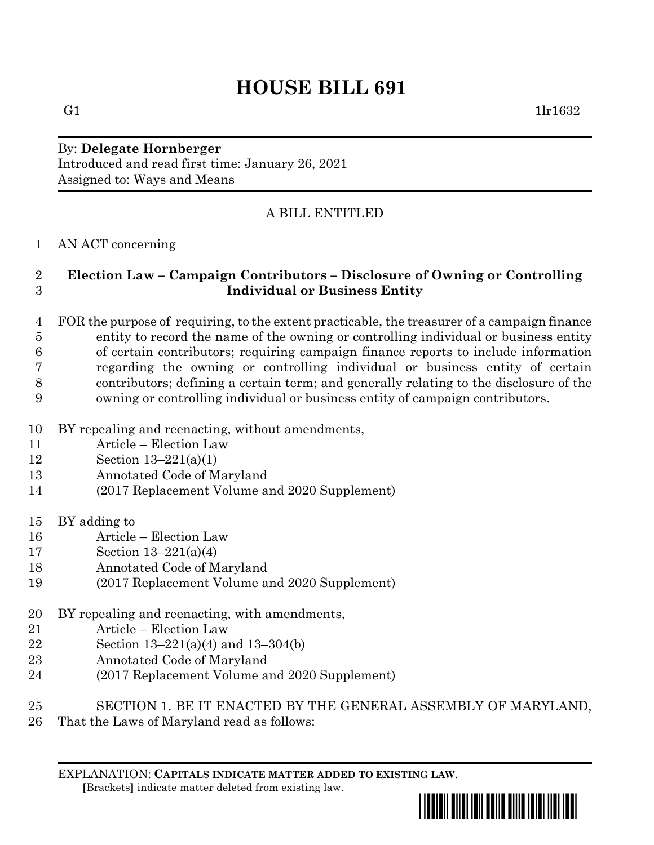# **HOUSE BILL 691**

G1  $1\text{lr}1632$ 

## By: **Delegate Hornberger** Introduced and read first time: January 26, 2021 Assigned to: Ways and Means

# A BILL ENTITLED

#### AN ACT concerning

## **Election Law – Campaign Contributors – Disclosure of Owning or Controlling Individual or Business Entity**

 FOR the purpose of requiring, to the extent practicable, the treasurer of a campaign finance entity to record the name of the owning or controlling individual or business entity of certain contributors; requiring campaign finance reports to include information regarding the owning or controlling individual or business entity of certain contributors; defining a certain term; and generally relating to the disclosure of the owning or controlling individual or business entity of campaign contributors.

- BY repealing and reenacting, without amendments,
- Article Election Law
- Section 13–221(a)(1)
- Annotated Code of Maryland
- (2017 Replacement Volume and 2020 Supplement)
- BY adding to
- Article Election Law
- Section 13–221(a)(4)
- Annotated Code of Maryland
- (2017 Replacement Volume and 2020 Supplement)
- BY repealing and reenacting, with amendments,
- Article Election Law
- Section 13–221(a)(4) and 13–304(b)
- Annotated Code of Maryland
- (2017 Replacement Volume and 2020 Supplement)
- SECTION 1. BE IT ENACTED BY THE GENERAL ASSEMBLY OF MARYLAND,
- That the Laws of Maryland read as follows:

EXPLANATION: **CAPITALS INDICATE MATTER ADDED TO EXISTING LAW**.  **[**Brackets**]** indicate matter deleted from existing law.

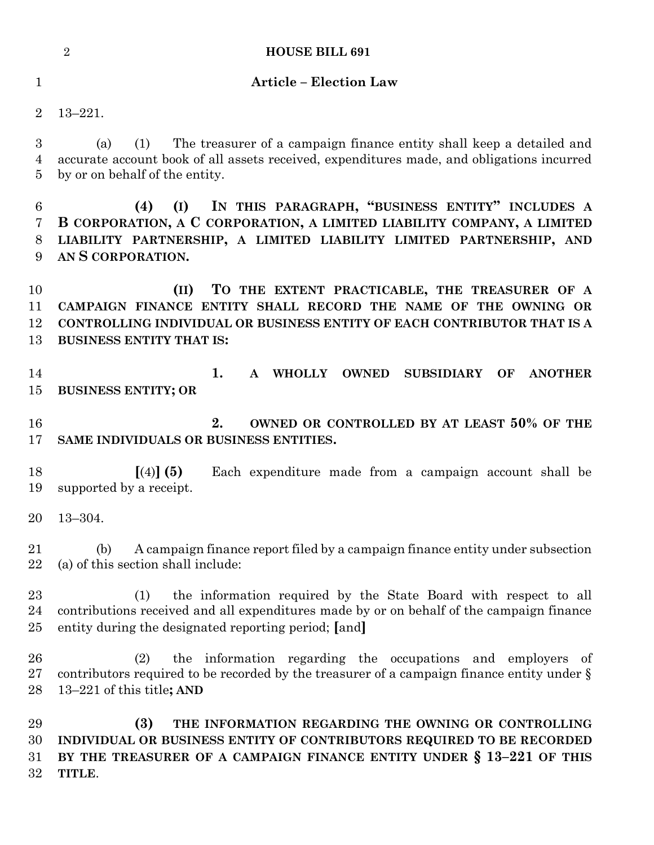|                              | $\overline{2}$<br><b>HOUSE BILL 691</b>                                                                                                                                                                                               |
|------------------------------|---------------------------------------------------------------------------------------------------------------------------------------------------------------------------------------------------------------------------------------|
| $\mathbf 1$                  | <b>Article - Election Law</b>                                                                                                                                                                                                         |
| $\overline{2}$               | $13 - 221.$                                                                                                                                                                                                                           |
| 3<br>4<br>5                  | The treasurer of a campaign finance entity shall keep a detailed and<br>(1)<br>(a)<br>accurate account book of all assets received, expenditures made, and obligations incurred<br>by or on behalf of the entity.                     |
| 6<br>7<br>8<br>9             | IN THIS PARAGRAPH, "BUSINESS ENTITY" INCLUDES A<br>(I)<br>(4)<br>B CORPORATION, A C CORPORATION, A LIMITED LIABILITY COMPANY, A LIMITED<br>LIABILITY PARTNERSHIP, A LIMITED LIABILITY LIMITED PARTNERSHIP, AND<br>AN S CORPORATION.   |
| 10<br>11<br>12<br>13         | TO THE EXTENT PRACTICABLE, THE TREASURER OF A<br>(II)<br>CAMPAIGN FINANCE ENTITY SHALL RECORD THE NAME OF THE OWNING OR<br>CONTROLLING INDIVIDUAL OR BUSINESS ENTITY OF EACH CONTRIBUTOR THAT IS A<br><b>BUSINESS ENTITY THAT IS:</b> |
| 14<br>15                     | 1.<br><b>WHOLLY</b><br><b>OWNED</b><br>$\mathbf{A}$<br><b>SUBSIDIARY</b><br><b>ANOTHER</b><br>OF<br><b>BUSINESS ENTITY; OR</b>                                                                                                        |
| 16<br>17                     | 2.<br>OWNED OR CONTROLLED BY AT LEAST 50% OF THE<br>SAME INDIVIDUALS OR BUSINESS ENTITIES.                                                                                                                                            |
| 18<br>19                     | $(4)$ (5)<br>Each expenditure made from a campaign account shall be<br>supported by a receipt.                                                                                                                                        |
|                              | $20 \quad 13 - 304.$                                                                                                                                                                                                                  |
| 21<br>22                     | A campaign finance report filed by a campaign finance entity under subsection<br>(b)<br>(a) of this section shall include:                                                                                                            |
| 23<br>24<br>$25\,$           | the information required by the State Board with respect to all<br>(1)<br>contributions received and all expenditures made by or on behalf of the campaign finance<br>entity during the designated reporting period; [and]            |
| 26<br>$27\,$<br>28           | the information regarding the occupations and employers of<br>(2)<br>contributors required to be recorded by the treasurer of a campaign finance entity under $\S$<br>13–221 of this title; AND                                       |
| 29<br>30<br>$31\,$<br>$32\,$ | (3)<br>THE INFORMATION REGARDING THE OWNING OR CONTROLLING<br>INDIVIDUAL OR BUSINESS ENTITY OF CONTRIBUTORS REQUIRED TO BE RECORDED<br>BY THE TREASURER OF A CAMPAIGN FINANCE ENTITY UNDER § 13-221 OF THIS<br>TITLE.                 |